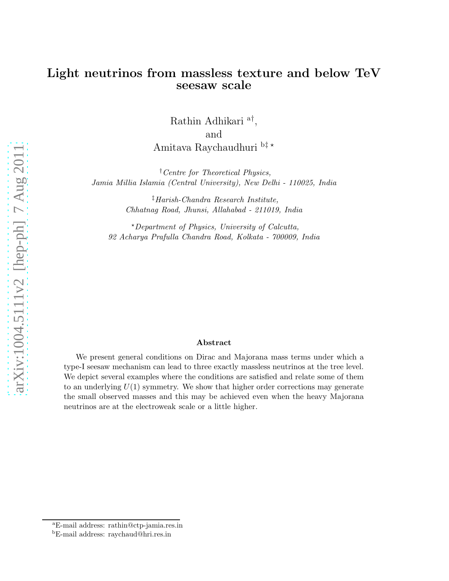## Light neutrinos from massless texture and below TeV seesaw scale

Rathin Adhikari $^{\mathrm{a}\dagger},$ and Amitava Raychaudhuri $^{\rm b\ddagger\,*}$ 

†Centre for Theoretical Physics, Jamia Millia Islamia (Central University), New Delhi - 110025, India

> ‡Harish-Chandra Research Institute, Chhatnag Road, Jhunsi, Allahabad - 211019, India

 $\star$ Department of Physics, University of Calcutta, 92 Acharya Prafulla Chandra Road, Kolkata - 700009, India

#### Abstract

We present general conditions on Dirac and Majorana mass terms under which a type-I seesaw mechanism can lead to three exactly massless neutrinos at the tree level. We depict several examples where the conditions are satisfied and relate some of them to an underlying  $U(1)$  symmetry. We show that higher order corrections may generate the small observed masses and this may be achieved even when the heavy Majorana neutrinos are at the electroweak scale or a little higher.

<sup>a</sup>E-mail address: rathin@ctp-jamia.res.in

<sup>b</sup>E-mail address: raychaud@hri.res.in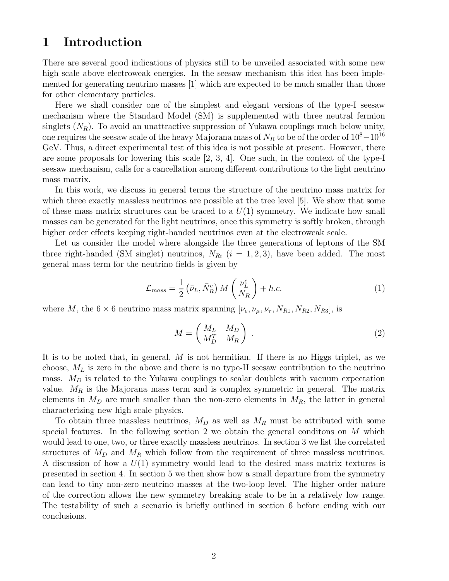# 1 Introduction

There are several good indications of physics still to be unveiled associated with some new high scale above electroweak energies. In the seesaw mechanism this idea has been implemented for generating neutrino masses [1] which are expected to be much smaller than those for other elementary particles.

Here we shall consider one of the simplest and elegant versions of the type-I seesaw mechanism where the Standard Model (SM) is supplemented with three neutral fermion singlets  $(N_R)$ . To avoid an unattractive suppression of Yukawa couplings much below unity, one requires the seesaw scale of the heavy Majorana mass of  $N_R$  to be of the order of  $10^8-10^{16}$ GeV. Thus, a direct experimental test of this idea is not possible at present. However, there are some proposals for lowering this scale [2, 3, 4]. One such, in the context of the type-I seesaw mechanism, calls for a cancellation among different contributions to the light neutrino mass matrix.

In this work, we discuss in general terms the structure of the neutrino mass matrix for which three exactly massless neutrinos are possible at the tree level [5]. We show that some of these mass matrix structures can be traced to a  $U(1)$  symmetry. We indicate how small masses can be generated for the light neutrinos, once this symmetry is softly broken, through higher order effects keeping right-handed neutrinos even at the electroweak scale.

Let us consider the model where alongside the three generations of leptons of the SM three right-handed (SM singlet) neutrinos,  $N_{Ri}$  ( $i = 1, 2, 3$ ), have been added. The most general mass term for the neutrino fields is given by

$$
\mathcal{L}_{mass} = \frac{1}{2} \left( \bar{\nu}_L, \bar{N}_R^c \right) M \left( \frac{\nu_L^c}{N_R} \right) + h.c. \tag{1}
$$

where M, the  $6 \times 6$  neutrino mass matrix spanning  $[\nu_e, \nu_\mu, \nu_\tau, N_{R1}, N_{R2}, N_{R3}]$ , is

$$
M = \begin{pmatrix} M_L & M_D \\ M_D^T & M_R \end{pmatrix} \tag{2}
$$

It is to be noted that, in general,  $M$  is not hermitian. If there is no Higgs triplet, as we choose,  $M_L$  is zero in the above and there is no type-II seesaw contribution to the neutrino mass.  $M_D$  is related to the Yukawa couplings to scalar doublets with vacuum expectation value.  $M_R$  is the Majorana mass term and is complex symmetric in general. The matrix elements in  $M_D$  are much smaller than the non-zero elements in  $M_R$ , the latter in general characterizing new high scale physics.

To obtain three massless neutrinos,  $M_D$  as well as  $M_R$  must be attributed with some special features. In the following section 2 we obtain the general conditons on M which would lead to one, two, or three exactly massless neutrinos. In section 3 we list the correlated structures of  $M_D$  and  $M_R$  which follow from the requirement of three massless neutrinos. A discussion of how a  $U(1)$  symmetry would lead to the desired mass matrix textures is presented in section 4. In section 5 we then show how a small departure from the symmetry can lead to tiny non-zero neutrino masses at the two-loop level. The higher order nature of the correction allows the new symmetry breaking scale to be in a relatively low range. The testability of such a scenario is briefly outlined in section 6 before ending with our conclusions.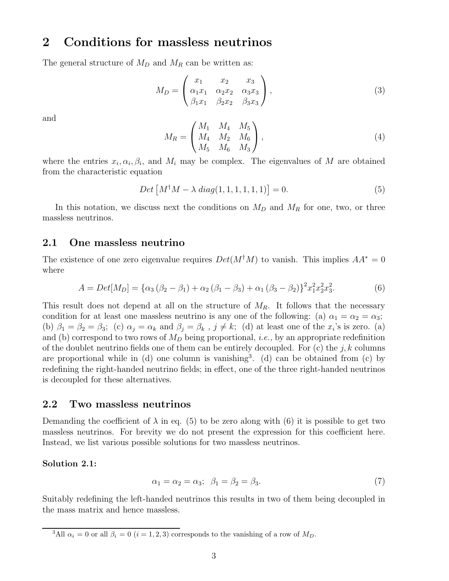# 2 Conditions for massless neutrinos

The general structure of  $M_D$  and  $M_R$  can be written as:

$$
M_D = \begin{pmatrix} x_1 & x_2 & x_3 \\ \alpha_1 x_1 & \alpha_2 x_2 & \alpha_3 x_3 \\ \beta_1 x_1 & \beta_2 x_2 & \beta_3 x_3 \end{pmatrix},
$$
 (3)

and

$$
M_R = \begin{pmatrix} M_1 & M_4 & M_5 \\ M_4 & M_2 & M_6 \\ M_5 & M_6 & M_3 \end{pmatrix},
$$
 (4)

where the entries  $x_i, \alpha_i, \beta_i$ , and  $M_i$  may be complex. The eigenvalues of M are obtained from the characteristic equation

$$
Det [M^{\dagger} M - \lambda \ diag(1, 1, 1, 1, 1, 1)] = 0.
$$
 (5)

In this notation, we discuss next the conditions on  $M_D$  and  $M_R$  for one, two, or three massless neutrinos.

### 2.1 One massless neutrino

The existence of one zero eigenvalue requires  $Det(M^{\dagger}M)$  to vanish. This implies  $AA^* = 0$ where

$$
A = Det[M_D] = {\alpha_3 (\beta_2 - \beta_1) + \alpha_2 (\beta_1 - \beta_3) + \alpha_1 (\beta_3 - \beta_2)}^{2x_1^2 x_2^2 x_3^2}.
$$
 (6)

This result does not depend at all on the structure of  $M_R$ . It follows that the necessary condition for at least one massless neutrino is any one of the following: (a)  $\alpha_1 = \alpha_2 = \alpha_3$ ; (b)  $\beta_1 = \beta_2 = \beta_3$ ; (c)  $\alpha_j = \alpha_k$  and  $\beta_j = \beta_k$ ,  $j \neq k$ ; (d) at least one of the  $x_i$ 's is zero. (a) and (b) correspond to two rows of  $M_D$  being proportional, *i.e.*, by an appropriate redefinition of the doublet neutrino fields one of them can be entirely decoupled. For  $(c)$  the j, k columns are proportional while in  $(d)$  one column is vanishing<sup>3</sup>.  $(d)$  can be obtained from  $(c)$  by redefining the right-handed neutrino fields; in effect, one of the three right-handed neutrinos is decoupled for these alternatives.

### 2.2 Two massless neutrinos

Demanding the coefficient of  $\lambda$  in eq. (5) to be zero along with (6) it is possible to get two massless neutrinos. For brevity we do not present the expression for this coefficient here. Instead, we list various possible solutions for two massless neutrinos.

#### Solution 2.1:

$$
\alpha_1 = \alpha_2 = \alpha_3; \quad \beta_1 = \beta_2 = \beta_3. \tag{7}
$$

Suitably redefining the left-handed neutrinos this results in two of them being decoupled in the mass matrix and hence massless.

<sup>&</sup>lt;sup>3</sup>All  $\alpha_i = 0$  or all  $\beta_i = 0$  (i = 1, 2, 3) corresponds to the vanishing of a row of  $M_D$ .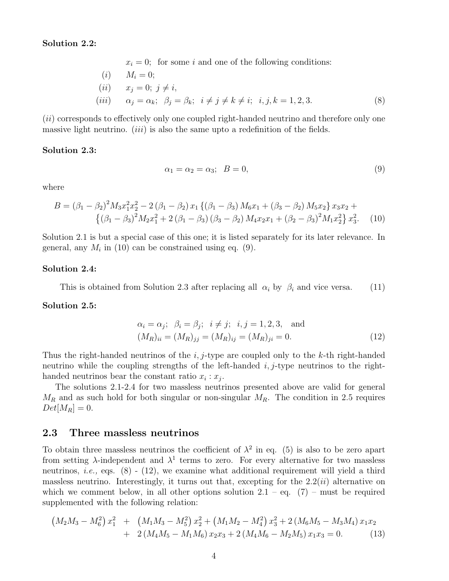#### Solution 2.2:

 $x_i = 0$ ; for some i and one of the following conditions:

(i) 
$$
M_i = 0;
$$
  
\n(ii)  $x_j = 0; j \neq i,$   
\n(iii)  $\alpha_j = \alpha_k; \ \beta_j = \beta_k; \ i \neq j \neq k \neq i; i, j, k = 1, 2, 3.$  (8)

 $(ii)$  corresponds to effectively only one coupled right-handed neutrino and therefore only one massive light neutrino. *(iii)* is also the same upto a redefinition of the fields.

#### Solution 2.3:

$$
\alpha_1 = \alpha_2 = \alpha_3; \quad B = 0,\tag{9}
$$

where

$$
B = (\beta_1 - \beta_2)^2 M_3 x_1^2 x_2^2 - 2 (\beta_1 - \beta_2) x_1 \{ (\beta_1 - \beta_3) M_6 x_1 + (\beta_3 - \beta_2) M_5 x_2 \} x_3 x_2 + \{ (\beta_1 - \beta_3)^2 M_2 x_1^2 + 2 (\beta_1 - \beta_3) (\beta_3 - \beta_2) M_4 x_2 x_1 + (\beta_2 - \beta_3)^2 M_1 x_2^2 \} x_3^2.
$$
 (10)

Solution 2.1 is but a special case of this one; it is listed separately for its later relevance. In general, any  $M_i$  in (10) can be constrained using eq. (9).

#### Solution 2.4:

This is obtained from Solution 2.3 after replacing all  $\alpha_i$  by  $\beta_i$  and vice versa. (11)

#### Solution 2.5:

$$
\alpha_i = \alpha_j; \ \beta_i = \beta_j; \ \ i \neq j; \ \ i, j = 1, 2, 3, \text{ and}
$$
  
\n $(M_R)_{ii} = (M_R)_{jj} = (M_R)_{ij} = (M_R)_{ji} = 0.$  (12)

Thus the right-handed neutrinos of the i, j-type are coupled only to the k-th right-handed neutrino while the coupling strengths of the left-handed  $i, j$ -type neutrinos to the righthanded neutrinos bear the constant ratio  $x_i : x_j$ .

The solutions 2.1-2.4 for two massless neutrinos presented above are valid for general  $M_R$  and as such hold for both singular or non-singular  $M_R$ . The condition in 2.5 requires  $Det[M_R] = 0.$ 

### 2.3 Three massless neutrinos

To obtain three massless neutrinos the coefficient of  $\lambda^2$  in eq. (5) is also to be zero apart from setting  $\lambda$ -independent and  $\lambda^1$  terms to zero. For every alternative for two massless neutrinos, *i.e.*, eqs.  $(8)$  -  $(12)$ , we examine what additional requirement will yield a third massless neutrino. Interestingly, it turns out that, excepting for the  $2.2(ii)$  alternative on which we comment below, in all other options solution  $2.1 - eq$ . (7) – must be required supplemented with the following relation:

$$
\left(M_2M_3 - M_6^2\right)x_1^2 + \left(M_1M_3 - M_5^2\right)x_2^2 + \left(M_1M_2 - M_4^2\right)x_3^2 + 2\left(M_6M_5 - M_3M_4\right)x_1x_2 + 2\left(M_4M_5 - M_1M_6\right)x_2x_3 + 2\left(M_4M_6 - M_2M_5\right)x_1x_3 = 0. \tag{13}
$$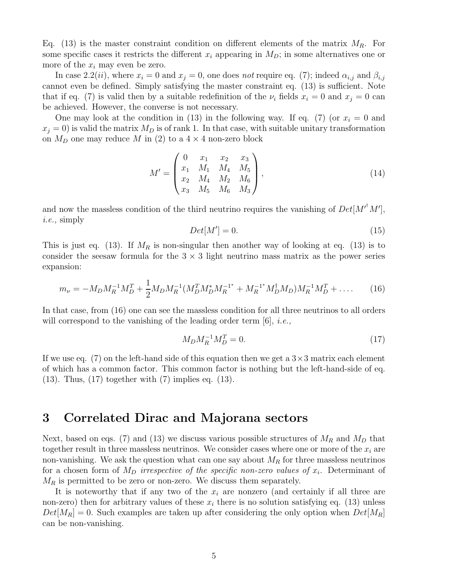Eq. (13) is the master constraint condition on different elements of the matrix  $M_R$ . For some specific cases it restricts the different  $x_i$  appearing in  $M_D$ ; in some alternatives one or more of the  $x_i$  may even be zero.

In case 2.2(*ii*), where  $x_i = 0$  and  $x_j = 0$ , one does not require eq. (7); indeed  $\alpha_{i,j}$  and  $\beta_{i,j}$ cannot even be defined. Simply satisfying the master constraint eq. (13) is sufficient. Note that if eq. (7) is valid then by a suitable redefinition of the  $\nu_i$  fields  $x_i = 0$  and  $x_j = 0$  can be achieved. However, the converse is not necessary.

One may look at the condition in (13) in the following way. If eq. (7) (or  $x_i = 0$  and  $x_j = 0$ ) is valid the matrix  $M_D$  is of rank 1. In that case, with suitable unitary transformation on  $M_D$  one may reduce M in (2) to a  $4 \times 4$  non-zero block

$$
M' = \begin{pmatrix} 0 & x_1 & x_2 & x_3 \\ x_1 & M_1 & M_4 & M_5 \\ x_2 & M_4 & M_2 & M_6 \\ x_3 & M_5 & M_6 & M_3 \end{pmatrix},
$$
(14)

and now the massless condition of the third neutrino requires the vanishing of  $Det[M'^{\dagger}M']$ , i.e., simply

$$
Det[M'] = 0.
$$
\n<sup>(15)</sup>

This is just eq. (13). If  $M_R$  is non-singular then another way of looking at eq. (13) is to consider the seesaw formula for the  $3 \times 3$  light neutrino mass matrix as the power series expansion:

$$
m_{\nu} = -M_D M_R^{-1} M_D^T + \frac{1}{2} M_D M_R^{-1} (M_D^T M_D^* M_R^{-1^*} + M_R^{-1^*} M_D^{\dagger} M_D) M_R^{-1} M_D^T + \dots
$$
 (16)

In that case, from (16) one can see the massless condition for all three neutrinos to all orders will correspond to the vanishing of the leading order term  $|6|$ , *i.e.*,

$$
M_D M_R^{-1} M_D^T = 0.
$$
\n(17)

If we use eq. (7) on the left-hand side of this equation then we get a  $3\times3$  matrix each element of which has a common factor. This common factor is nothing but the left-hand-side of eq. (13). Thus, (17) together with (7) implies eq. (13).

## 3 Correlated Dirac and Majorana sectors

Next, based on eqs. (7) and (13) we discuss various possible structures of  $M_R$  and  $M_D$  that together result in three massless neutrinos. We consider cases where one or more of the  $x_i$  are non-vanishing. We ask the question what can one say about  $M_R$  for three massless neutrinos for a chosen form of  $M_D$  irrespective of the specific non-zero values of  $x_i$ . Determinant of  $M_R$  is permitted to be zero or non-zero. We discuss them separately.

It is noteworthy that if any two of the  $x_i$  are nonzero (and certainly if all three are non-zero) then for arbitrary values of these  $x_i$  there is no solution satisfying eq. (13) unless  $Det[M_R] = 0$ . Such examples are taken up after considering the only option when  $Det[M_R]$ can be non-vanishing.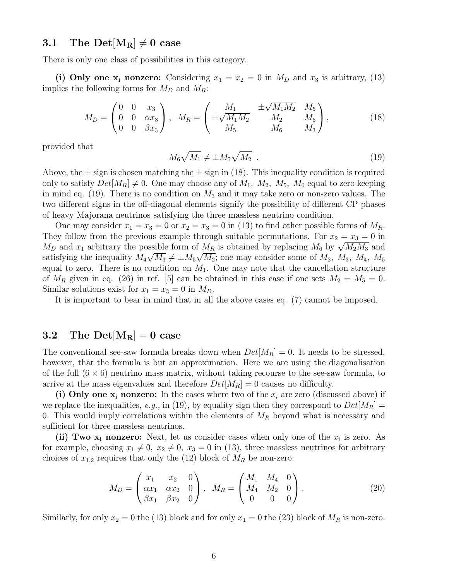## 3.1 The Det $[M_R] \neq 0$  case

There is only one class of possibilities in this category.

(i) Only one  $x_i$  nonzero: Considering  $x_1 = x_2 = 0$  in  $M_D$  and  $x_3$  is arbitrary, (13) implies the following forms for  $M_D$  and  $M_R$ :

$$
M_D = \begin{pmatrix} 0 & 0 & x_3 \\ 0 & 0 & \alpha x_3 \\ 0 & 0 & \beta x_3 \end{pmatrix}, \quad M_R = \begin{pmatrix} M_1 & \pm \sqrt{M_1 M_2} & M_5 \\ \pm \sqrt{M_1 M_2} & M_2 & M_6 \\ M_5 & M_6 & M_3 \end{pmatrix},
$$
(18)

provided that

$$
M_6\sqrt{M_1} \neq \pm M_5\sqrt{M_2} \tag{19}
$$

Above, the  $\pm$  sign is chosen matching the  $\pm$  sign in (18). This inequality condition is required only to satisfy  $Det[M_R] \neq 0$ . One may choose any of  $M_1$ ,  $M_2$ ,  $M_5$ ,  $M_6$  equal to zero keeping in mind eq. (19). There is no condition on  $M_3$  and it may take zero or non-zero values. The two different signs in the off-diagonal elements signify the possibility of different CP phases of heavy Majorana neutrinos satisfying the three massless neutrino condition.

One may consider  $x_1 = x_3 = 0$  or  $x_2 = x_3 = 0$  in (13) to find other possible forms of  $M_R$ . They follow from the previous example through suitable permutations. For  $x_2 = x_3 = 0$  in M<sub>D</sub> and  $x_1$  arbitrary the possible form of  $M_R$  is obtained by replacing  $M_6$  by  $\sqrt{M_2M_3}$  and satisfying the inequality  $M_4\sqrt{M_3} \neq \pm M_5\sqrt{M_2}$ ; one may consider some of  $M_2$ ,  $M_3$ ,  $M_4$ ,  $M_5$ equal to zero. There is no condition on  $M_1$ . One may note that the cancellation structure of  $M_R$  given in eq. (26) in ref. [5] can be obtained in this case if one sets  $M_2 = M_5 = 0$ . Similar solutions exist for  $x_1 = x_3 = 0$  in  $M_D$ .

It is important to bear in mind that in all the above cases eq. (7) cannot be imposed.

## 3.2 The Det $[M_R] = 0$  case

The conventional see-saw formula breaks down when  $Det[M_R] = 0$ . It needs to be stressed, however, that the formula is but an approximation. Here we are using the diagonalisation of the full  $(6 \times 6)$  neutrino mass matrix, without taking recourse to the see-saw formula, to arrive at the mass eigenvalues and therefore  $Det[M_R] = 0$  causes no difficulty.

(i) Only one  $x_i$  nonzero: In the cases where two of the  $x_i$  are zero (discussed above) if we replace the inequalities, e.g., in (19), by equality sign then they correspond to  $Det[M_R] =$ 0. This would imply correlations within the elements of  $M_R$  beyond what is necessary and sufficient for three massless neutrinos.

(ii) Two  $x_i$  nonzero: Next, let us consider cases when only one of the  $x_i$  is zero. As for example, choosing  $x_1 \neq 0$ ,  $x_2 \neq 0$ ,  $x_3 = 0$  in (13), three massless neutrinos for arbitrary choices of  $x_{1,2}$  requires that only the (12) block of  $M_R$  be non-zero:

$$
M_D = \begin{pmatrix} x_1 & x_2 & 0 \\ \alpha x_1 & \alpha x_2 & 0 \\ \beta x_1 & \beta x_2 & 0 \end{pmatrix}, \quad M_R = \begin{pmatrix} M_1 & M_4 & 0 \\ M_4 & M_2 & 0 \\ 0 & 0 & 0 \end{pmatrix}.
$$
 (20)

Similarly, for only  $x_2 = 0$  the (13) block and for only  $x_1 = 0$  the (23) block of  $M_R$  is non-zero.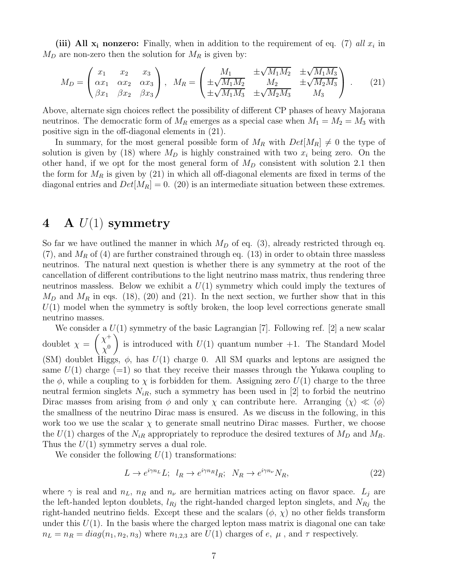(iii) All  $x_i$  nonzero: Finally, when in addition to the requirement of eq. (7) all  $x_i$  in  $M_D$  are non-zero then the solution for  $M_R$  is given by:

$$
M_D = \begin{pmatrix} x_1 & x_2 & x_3 \\ \alpha x_1 & \alpha x_2 & \alpha x_3 \\ \beta x_1 & \beta x_2 & \beta x_3 \end{pmatrix}, \quad M_R = \begin{pmatrix} M_1 & \pm \sqrt{M_1 M_2} & \pm \sqrt{M_1 M_3} \\ \pm \sqrt{M_1 M_2} & M_2 & \pm \sqrt{M_2 M_3} \\ \pm \sqrt{M_1 M_3} & \pm \sqrt{M_2 M_3} & M_3 \end{pmatrix} . \tag{21}
$$

Above, alternate sign choices reflect the possibility of different CP phases of heavy Majorana neutrinos. The democratic form of  $M_R$  emerges as a special case when  $M_1 = M_2 = M_3$  with positive sign in the off-diagonal elements in (21).

In summary, for the most general possible form of  $M_R$  with  $Det[M_R] \neq 0$  the type of solution is given by (18) where  $M_D$  is highly constrained with two  $x_i$  being zero. On the other hand, if we opt for the most general form of  $M_D$  consistent with solution 2.1 then the form for  $M_R$  is given by (21) in which all off-diagonal elements are fixed in terms of the diagonal entries and  $Det[M_R] = 0.$  (20) is an intermediate situation between these extremes.

# 4 A  $U(1)$  symmetry

So far we have outlined the manner in which  $M_D$  of eq. (3), already restricted through eq.  $(7)$ , and  $M_R$  of (4) are further constrained through eq. (13) in order to obtain three massless neutrinos. The natural next question is whether there is any symmetry at the root of the cancellation of different contributions to the light neutrino mass matrix, thus rendering three neutrinos massless. Below we exhibit a  $U(1)$  symmetry which could imply the textures of  $M_D$  and  $M_R$  in eqs. (18), (20) and (21). In the next section, we further show that in this  $U(1)$  model when the symmetry is softly broken, the loop level corrections generate small neutrino masses.

We consider a  $U(1)$  symmetry of the basic Lagrangian [7]. Following ref. [2] a new scalar doublet  $\chi =$  $(x^+$  $\chi^0$  $\setminus$ is introduced with  $U(1)$  quantum number  $+1$ . The Standard Model (SM) doublet Higgs,  $\phi$ , has  $U(1)$  charge 0. All SM quarks and leptons are assigned the same  $U(1)$  charge (=1) so that they receive their masses through the Yukawa coupling to the  $\phi$ , while a coupling to  $\chi$  is forbidden for them. Assigning zero  $U(1)$  charge to the three neutral fermion singlets  $N_{iR}$ , such a symmetry has been used in [2] to forbid the neutrino Dirac masses from arising from  $\phi$  and only  $\chi$  can contribute here. Arranging  $\langle \chi \rangle \ll \langle \phi \rangle$ the smallness of the neutrino Dirac mass is ensured. As we discuss in the following, in this work too we use the scalar  $\chi$  to generate small neutrino Dirac masses. Further, we choose the  $U(1)$  charges of the  $N_{iR}$  appropriately to reproduce the desired textures of  $M_D$  and  $M_R$ . Thus the  $U(1)$  symmetry serves a dual role.

We consider the following  $U(1)$  transformations:

$$
L \to e^{i\gamma n_L} L; \quad l_R \to e^{i\gamma n_R} l_R; \quad N_R \to e^{i\gamma n_\nu} N_R,\tag{22}
$$

where  $\gamma$  is real and  $n_L$ ,  $n_R$  and  $n_{\nu}$  are hermitian matrices acting on flavor space.  $L_i$  are the left-handed lepton doublets,  $l_{Rj}$  the right-handed charged lepton singlets, and  $N_{Rj}$  the right-handed neutrino fields. Except these and the scalars  $(\phi, \chi)$  no other fields transform under this  $U(1)$ . In the basis where the charged lepton mass matrix is diagonal one can take  $n_L = n_R = diag(n_1, n_2, n_3)$  where  $n_{1,2,3}$  are  $U(1)$  charges of e,  $\mu$ , and  $\tau$  respectively.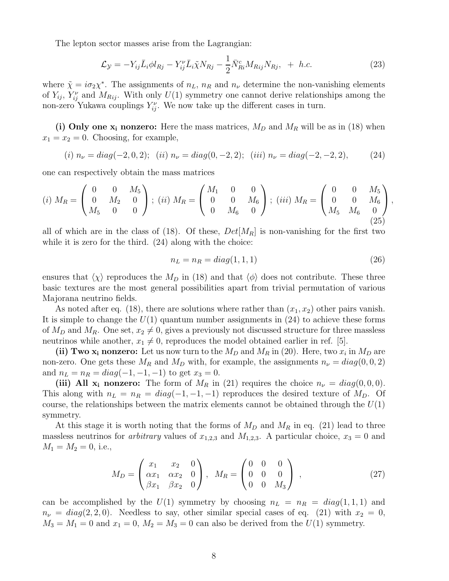The lepton sector masses arise from the Lagrangian:

$$
\mathcal{L}_{\mathcal{Y}} = -Y_{ij}\bar{L}_{i}\phi l_{Rj} - Y_{ij}^{\nu}\bar{L}_{i}\tilde{\chi}N_{Rj} - \frac{1}{2}\bar{N}_{Ri}^{c}M_{Rij}N_{Rj}, + h.c.
$$
 (23)

where  $\tilde{\chi} = i\sigma_2 \chi^*$ . The assignments of  $n_L$ ,  $n_R$  and  $n_{\nu}$  determine the non-vanishing elements of  $Y_{ij}$ ,  $Y_{ij}^{\nu}$  and  $M_{Rij}$ . With only  $U(1)$  symmetry one cannot derive relationships among the non-zero Yukawa couplings  $Y_{ij}^{\nu}$ . We now take up the different cases in turn.

(i) Only one  $x_i$  nonzero: Here the mass matrices,  $M_D$  and  $M_R$  will be as in (18) when  $x_1 = x_2 = 0$ . Choosing, for example,

$$
(i) n_{\nu} = diag(-2, 0, 2); (ii) n_{\nu} = diag(0, -2, 2); (iii) n_{\nu} = diag(-2, -2, 2), (24)
$$

one can respectively obtain the mass matrices

$$
(i) \ M_R = \begin{pmatrix} 0 & 0 & M_5 \\ 0 & M_2 & 0 \\ M_5 & 0 & 0 \end{pmatrix}; \ (ii) \ M_R = \begin{pmatrix} M_1 & 0 & 0 \\ 0 & 0 & M_6 \\ 0 & M_6 & 0 \end{pmatrix}; \ (iii) \ M_R = \begin{pmatrix} 0 & 0 & M_5 \\ 0 & 0 & M_6 \\ M_5 & M_6 & 0 \end{pmatrix}, \tag{25}
$$

all of which are in the class of (18). Of these,  $Det[M_R]$  is non-vanishing for the first two while it is zero for the third.  $(24)$  along with the choice:

$$
n_L = n_R = diag(1, 1, 1)
$$
\n(26)

ensures that  $\langle \chi \rangle$  reproduces the  $M_D$  in (18) and that  $\langle \phi \rangle$  does not contribute. These three basic textures are the most general possibilities apart from trivial permutation of various Majorana neutrino fields.

As noted after eq. (18), there are solutions where rather than  $(x_1, x_2)$  other pairs vanish. It is simple to change the  $U(1)$  quantum number assignments in  $(24)$  to achieve these forms of  $M_D$  and  $M_R$ . One set,  $x_2 \neq 0$ , gives a previously not discussed structure for three massless neutrinos while another,  $x_1 \neq 0$ , reproduces the model obtained earlier in ref. [5].

(ii) Two  $x_i$  nonzero: Let us now turn to the  $M_D$  and  $M_R$  in (20). Here, two  $x_i$  in  $M_D$  are non-zero. One gets these  $M_R$  and  $M_D$  with, for example, the assignments  $n_{\nu} = diag(0, 0, 2)$ and  $n_L = n_R = diag(-1, -1, -1)$  to get  $x_3 = 0$ .

(iii) All  $x_i$  nonzero: The form of  $M_R$  in (21) requires the choice  $n_{\nu} = diag(0, 0, 0)$ . This along with  $n_L = n_R = diag(-1, -1, -1)$  reproduces the desired texture of  $M_D$ . Of course, the relationships between the matrix elements cannot be obtained through the  $U(1)$ symmetry.

At this stage it is worth noting that the forms of  $M_D$  and  $M_R$  in eq. (21) lead to three massless neutrinos for *arbitrary* values of  $x_{1,2,3}$  and  $M_{1,2,3}$ . A particular choice,  $x_3 = 0$  and  $M_1 = M_2 = 0$ , i.e.,

$$
M_D = \begin{pmatrix} x_1 & x_2 & 0 \\ \alpha x_1 & \alpha x_2 & 0 \\ \beta x_1 & \beta x_2 & 0 \end{pmatrix}, \quad M_R = \begin{pmatrix} 0 & 0 & 0 \\ 0 & 0 & 0 \\ 0 & 0 & M_3 \end{pmatrix}, \tag{27}
$$

can be accomplished by the  $U(1)$  symmetry by choosing  $n_L = n_R = diag(1, 1, 1)$  and  $n_{\nu} = diag(2, 2, 0)$ . Needless to say, other similar special cases of eq. (21) with  $x_2 = 0$ ,  $M_3 = M_1 = 0$  and  $x_1 = 0$ ,  $M_2 = M_3 = 0$  can also be derived from the  $U(1)$  symmetry.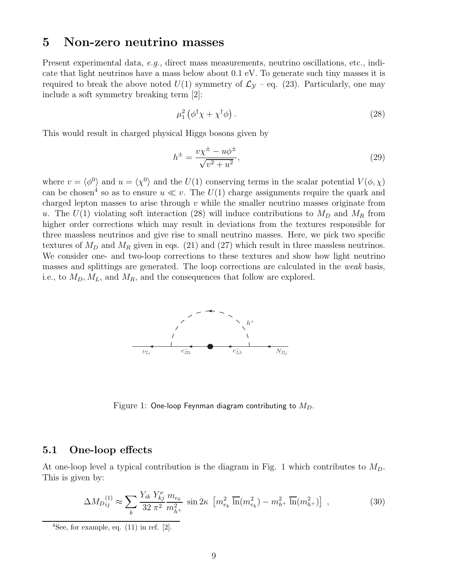## 5 Non-zero neutrino masses

Present experimental data, e.g., direct mass measurements, neutrino oscillations, etc., indicate that light neutrinos have a mass below about 0.1 eV. To generate such tiny masses it is required to break the above noted  $U(1)$  symmetry of  $\mathcal{L}_{\mathcal{Y}}$  – eq. (23). Particularly, one may include a soft symmetry breaking term [2]:

$$
\mu_1^2 \left( \phi^\dagger \chi + \chi^\dagger \phi \right). \tag{28}
$$

This would result in charged physical Higgs bosons given by

$$
h^{\pm} = \frac{v\chi^{\pm} - u\phi^{\pm}}{\sqrt{v^2 + u^2}},
$$
\n(29)

where  $v = \langle \phi^0 \rangle$  and  $u = \langle \chi^0 \rangle$  and the  $U(1)$  conserving terms in the scalar potential  $V(\phi, \chi)$ can be chosen<sup>4</sup> so as to ensure  $u \ll v$ . The  $U(1)$  charge assignments require the quark and charged lepton masses to arise through  $v$  while the smaller neutrino masses originate from u. The  $U(1)$  violating soft interaction (28) will induce contributions to  $M_D$  and  $M_R$  from higher order corrections which may result in deviations from the textures responsible for three massless neutrinos and give rise to small neutrino masses. Here, we pick two specific textures of  $M_D$  and  $M_R$  given in eqs. (21) and (27) which result in three massless neutrinos. We consider one- and two-loop corrections to these textures and show how light neutrino masses and splittings are generated. The loop corrections are calculated in the weak basis, i.e., to  $M_D, M_L$ , and  $M_R$ , and the consequences that follow are explored.



Figure 1: One-loop Feynman diagram contributing to  $M_D$ .

### 5.1 One-loop effects

At one-loop level a typical contribution is the diagram in Fig. 1 which contributes to  $M_D$ . This is given by:

$$
\Delta M_{D_{ij}}^{(1)} \approx \sum_{k} \frac{Y_{ik} Y_{kj}^{\nu}}{32 \pi^2} \frac{m_{e_k}}{m_{h^+}^2} \sin 2\kappa \left[ m_{e_k}^2 \overline{\ln}(m_{e_k}^2) - m_{h^+}^2 \overline{\ln}(m_{h^+}^2) \right] , \qquad (30)
$$

 $4$ See, for example, eq.  $(11)$  in ref.  $[2]$ .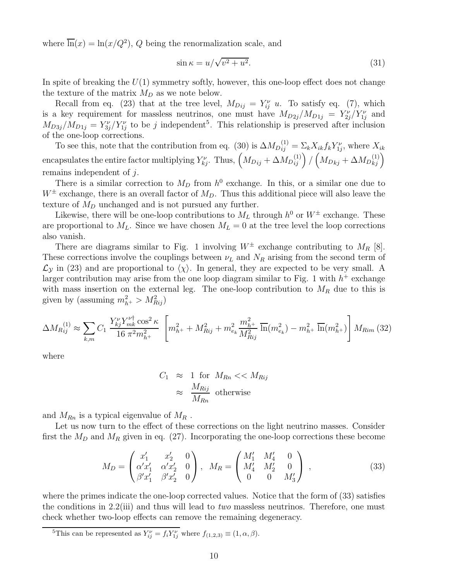where  $\overline{\ln}(x) = \ln(x/Q^2)$ , Q being the renormalization scale, and

$$
\sin \kappa = u/\sqrt{v^2 + u^2}.\tag{31}
$$

In spite of breaking the  $U(1)$  symmetry softly, however, this one-loop effect does not change the texture of the matrix  $M_D$  as we note below.

Recall from eq. (23) that at the tree level,  $M_{Dij} = Y_{ij}^{\nu} u$ . To satisfy eq. (7), which is a key requirement for massless neutrinos, one must have  $M_{D2j}/M_{D1j} = Y_{2j}^{\nu}/Y_{1j}^{\nu}$  and  $M_{D3j}/M_{D1j} = Y_{3j}^{\nu}/Y_{1j}^{\nu}$  to be j independent<sup>5</sup>. This relationship is preserved after inclusion of the one-loop corrections.

To see this, note that the contribution from eq. (30) is  $\Delta M_{Dij}^{(1)} = \Sigma_k X_{ik} f_k Y_{1j}^{\nu}$ , where  $X_{ik}$ encapsulates the entire factor multiplying  $Y_{kj}^{\nu}$ . Thus,  $\left(M_{Dij}+\Delta M_{Dij}^{(1)}\right)/\left(M_{Dkj}+\Delta M_{Dkj}^{(1)}\right)$ remains independent of j.

There is a similar correction to  $M_D$  from  $h^0$  exchange. In this, or a similar one due to  $W^{\pm}$  exchange, there is an overall factor of  $M_D$ . Thus this additional piece will also leave the texture of  $M_D$  unchanged and is not pursued any further.

Likewise, there will be one-loop contributions to  $M_L$  through  $h^0$  or  $W^{\pm}$  exchange. These are proportional to  $M_L$ . Since we have chosen  $M_L = 0$  at the tree level the loop corrections also vanish.

There are diagrams similar to Fig. 1 involving  $W^{\pm}$  exchange contributing to  $M_R$  [8]. These corrections involve the couplings between  $\nu_L$  and  $N_R$  arising from the second term of  $\mathcal{L}_{\mathcal{Y}}$  in (23) and are proportional to  $\langle \chi \rangle$ . In general, they are expected to be very small. A larger contribution may arise from the one loop diagram similar to Fig. 1 with  $h^+$  exchange with mass insertion on the external leg. The one-loop contribution to  $M_R$  due to this is given by (assuming  $m_{h^+}^2 > M_{Rij}^2$ )

$$
\Delta M_{Rij}^{(1)} \approx \sum_{k,m} C_1 \frac{Y_{kj}^{\nu} Y_{mk}^{\nu \dagger} \cos^2 \kappa}{16 \pi^2 m_{h^+}^2} \left[ m_{h^+}^2 + M_{Rij}^2 + m_{e_k}^2 \frac{m_{h^+}^2}{M_{Rij}^2} \overline{\ln}(m_{e_k}^2) - m_{h^+}^2 \overline{\ln}(m_{h^+}^2) \right] M_{Rim} (32)
$$

where

$$
C_1 \approx 1 \text{ for } M_{Rn} << M_{Rij}
$$

$$
\approx \frac{M_{Rij}}{M_{Rn}} \text{ otherwise}
$$

and  $M_{Rn}$  is a typical eigenvalue of  $M_R$ .

Let us now turn to the effect of these corrections on the light neutrino masses. Consider first the  $M_D$  and  $M_R$  given in eq. (27). Incorporating the one-loop corrections these become

$$
M_D = \begin{pmatrix} x'_1 & x'_2 & 0 \\ \alpha' x'_1 & \alpha' x'_2 & 0 \\ \beta' x'_1 & \beta' x'_2 & 0 \end{pmatrix}, \quad M_R = \begin{pmatrix} M'_1 & M'_4 & 0 \\ M'_4 & M'_2 & 0 \\ 0 & 0 & M'_3 \end{pmatrix}, \tag{33}
$$

where the primes indicate the one-loop corrected values. Notice that the form of (33) satisfies the conditions in 2.2(iii) and thus will lead to *two* massless neutrinos. Therefore, one must check whether two-loop effects can remove the remaining degeneracy.

<sup>&</sup>lt;sup>5</sup>This can be represented as  $Y_{ij}^{\nu} = f_i Y_{1j}^{\nu}$  where  $f_{(1,2,3)} \equiv (1, \alpha, \beta)$ .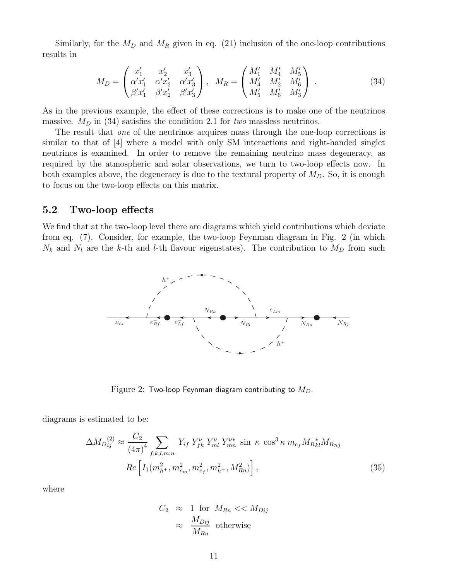Similarly, for the  $M_D$  and  $M_R$  given in eq. (21) inclusion of the one-loop contributions results in

$$
M_D = \begin{pmatrix} x'_1 & x'_2 & x'_3 \\ \alpha' x'_1 & \alpha' x'_2 & \alpha' x'_3 \\ \beta' x'_1 & \beta' x'_2 & \beta' x'_3 \end{pmatrix}, \quad M_R = \begin{pmatrix} M'_1 & M'_4 & M'_5 \\ M'_4 & M'_2 & M'_6 \\ M'_5 & M'_6 & M'_3 \end{pmatrix}.
$$
 (34)

As in the previous example, the effect of these corrections is to make one of the neutrinos massive.  $M_D$  in (34) satisfies the condition 2.1 for two massless neutrinos.

The result that one of the neutrinos acquires mass through the one-loop corrections is similar to that of [4] where a model with only SM interactions and right-handed singlet neutrinos is examined. In order to remove the remaining neutrino mass degeneracy, as required by the atmospheric and solar observations, we turn to two-loop effects now. In both examples above, the degeneracy is due to the textural property of  $M<sub>D</sub>$ . So, it is enough to focus on the two-loop effects on this matrix.

### 5.2 Two-loop effects

We find that at the two-loop level there are diagrams which yield contributions which deviate from eq. (7). Consider, for example, the two-loop Feynman diagram in Fig. 2 (in which  $N_k$  and  $N_l$  are the k-th and l-th flavour eigenstates). The contribution to  $M_D$  from such



Figure 2: Two-loop Feynman diagram contributing to  $M_D$ .

diagrams is estimated to be:

$$
\Delta M_{D_{ij}}^{(2)} \approx \frac{C_2}{(4\pi)^4} \sum_{f,k,l,m,n} Y_{if} Y_{fk}^{\nu} Y_{ml}^{\nu} Y_{mn}^{\nu*} \sin \kappa \cos^3 \kappa m_{e_f} M_{R_{kl}}^* M_{R_{nj}}
$$
  
\n
$$
Re \left[ I_1(m_{h^+}^2, m_{e_m}^2, m_{e_f}^2, m_{h^+}^2, M_{Rn}^2) \right],
$$
\n(35)

where

$$
C_2 \approx 1 \text{ for } M_{Rn} << M_{Dij}
$$

$$
\approx \frac{M_{Dij}}{M_{Rn}} \text{ otherwise}
$$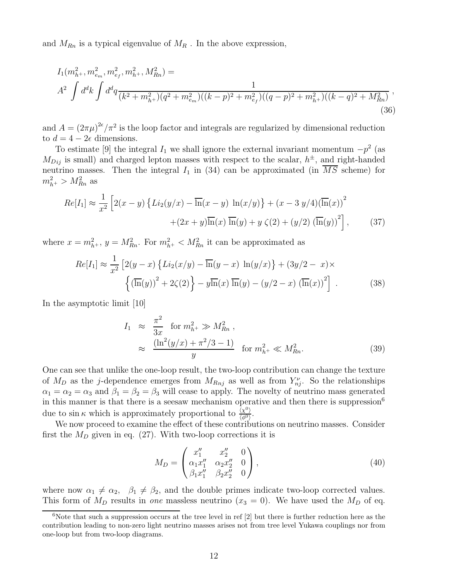and  $M_{Rn}$  is a typical eigenvalue of  $M_R$ . In the above expression,

$$
I_{1}(m_{h^{+}}^{2}, m_{e_{m}}^{2}, m_{e_{f}}^{2}, m_{h^{+}}^{2}, M_{Rn}^{2}) =
$$
  

$$
A^{2} \int d^{d}k \int d^{d}q \frac{1}{(k^{2} + m_{h^{+}}^{2})(q^{2} + m_{e_{m}}^{2})((k-p)^{2} + m_{e_{f}}^{2})((q-p)^{2} + m_{h^{+}}^{2})(k-q)^{2} + M_{Rn}^{2})},
$$
\n(36)

and  $A = (2\pi\mu)^{2\epsilon}/\pi^2$  is the loop factor and integrals are regularized by dimensional reduction to  $d = 4 - 2\epsilon$  dimensions.

To estimate [9] the integral  $I_1$  we shall ignore the external invariant momentum  $-p^2$  (as  $M_{Dij}$  is small) and charged lepton masses with respect to the scalar,  $h^{\pm}$ , and right-handed neutrino masses. Then the integral  $I_1$  in (34) can be approximated (in  $\overline{MS}$  scheme) for  $m_{h^{+}}^{2} > M_{Rn}^{2}$  as

$$
Re[I_1] \approx \frac{1}{x^2} \left[ 2(x - y) \left\{ Li_2(y/x) - \overline{\ln}(x - y) \ln(x/y) \right\} + (x - 3 y/4) (\overline{\ln}(x))^2 + (2x + y)\overline{\ln}(x) \overline{\ln}(y) + y \zeta(2) + (y/2) (\overline{\ln}(y))^2 \right],
$$
 (37)

where  $x = m_{h^+}^2$ ,  $y = M_{Rn}^2$ . For  $m_{h^+}^2 < M_{Rn}^2$  it can be approximated as

$$
Re[I_1] \approx \frac{1}{x^2} \left[ 2(y-x) \left\{ Li_2(x/y) - \overline{\ln}(y-x) \ln(y/x) \right\} + (3y/2 - x) \times \left\{ (\overline{\ln}(y))^2 + 2\zeta(2) \right\} - y\overline{\ln}(x) \overline{\ln}(y) - (y/2 - x) (\overline{\ln}(x))^2 \right].
$$
 (38)

In the asymptotic limit [10]

$$
I_1 \approx \frac{\pi^2}{3x} \text{ for } m_{h^+}^2 \gg M_{Rn}^2 ,
$$
  

$$
\approx \frac{(\ln^2(y/x) + \pi^2/3 - 1)}{y} \text{ for } m_{h^+}^2 \ll M_{Rn}^2 .
$$
 (39)

One can see that unlike the one-loop result, the two-loop contribution can change the texture of  $M_D$  as the j-dependence emerges from  $M_{Rnj}$  as well as from  $Y_{nj}^{\nu}$ . So the relationships  $\alpha_1 = \alpha_2 = \alpha_3$  and  $\beta_1 = \beta_2 = \beta_3$  will cease to apply. The novelty of neutrino mass generated in this manner is that there is a seesaw mechanism operative and then there is suppression<sup>6</sup> due to sin  $\kappa$  which is approximately proportional to  $\frac{\langle \chi^0 \rangle}{\langle \phi^0 \rangle}$  $\frac{\langle \chi^{\circ} \rangle}{\langle \phi^0 \rangle}$ .

We now proceed to examine the effect of these contributions on neutrino masses. Consider first the  $M_D$  given in eq. (27). With two-loop corrections it is

$$
M_D = \begin{pmatrix} x_1'' & x_2'' & 0 \\ \alpha_1 x_1'' & \alpha_2 x_2'' & 0 \\ \beta_1 x_1'' & \beta_2 x_2'' & 0 \end{pmatrix},
$$
\n(40)

where now  $\alpha_1 \neq \alpha_2$ ,  $\beta_1 \neq \beta_2$ , and the double primes indicate two-loop corrected values. This form of  $M_D$  results in one massless neutrino  $(x_3 = 0)$ . We have used the  $M_D$  of eq.

 $6$ Note that such a suppression occurs at the tree level in ref  $[2]$  but there is further reduction here as the contribution leading to non-zero light neutrino masses arises not from tree level Yukawa couplings nor from one-loop but from two-loop diagrams.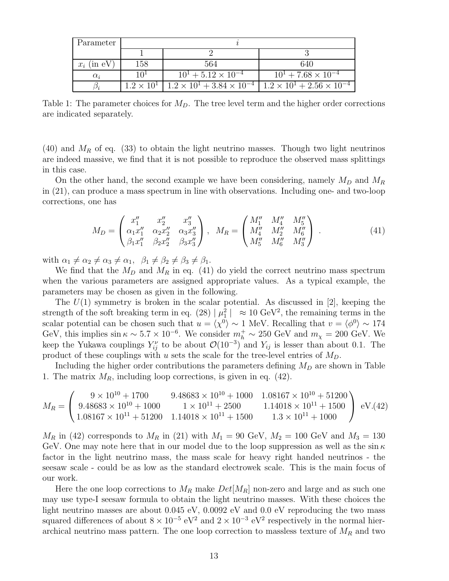| Parameter     |                     |                                                                                     |                              |
|---------------|---------------------|-------------------------------------------------------------------------------------|------------------------------|
|               |                     |                                                                                     |                              |
| $x_i$ (in eV) | 158                 | 564                                                                                 | 640                          |
| $\alpha_i$    | 10 <sup>1</sup>     | $10^1 + 5.12 \times 10^{-4}$                                                        | $10^1 + 7.68 \times 10^{-4}$ |
|               | $1.2 \times 10^{1}$ | $1.2 \times 10^{1} + 3.84 \times 10^{-4}$ $1.2 \times 10^{1} + 2.56 \times 10^{-4}$ |                              |

Table 1: The parameter choices for  $M_D$ . The tree level term and the higher order corrections are indicated separately.

(40) and  $M_R$  of eq. (33) to obtain the light neutrino masses. Though two light neutrinos are indeed massive, we find that it is not possible to reproduce the observed mass splittings in this case.

On the other hand, the second example we have been considering, namely  $M_D$  and  $M_R$ in (21), can produce a mass spectrum in line with observations. Including one- and two-loop corrections, one has

$$
M_D = \begin{pmatrix} x_1'' & x_2'' & x_3'' \\ \alpha_1 x_1'' & \alpha_2 x_2'' & \alpha_3 x_3'' \\ \beta_1 x_1'' & \beta_2 x_2'' & \beta_3 x_3'' \end{pmatrix}, \quad M_R = \begin{pmatrix} M_1'' & M_4'' & M_5'' \\ M_4'' & M_2'' & M_6'' \\ M_5'' & M_6'' & M_3'' \end{pmatrix} . \tag{41}
$$

with  $\alpha_1 \neq \alpha_2 \neq \alpha_3 \neq \alpha_1$ ,  $\beta_1 \neq \beta_2 \neq \beta_3 \neq \beta_1$ .

We find that the  $M_D$  and  $M_R$  in eq. (41) do yield the correct neutrino mass spectrum when the various parameters are assigned appropriate values. As a typical example, the parameters may be chosen as given in the following.

The  $U(1)$  symmetry is broken in the scalar potential. As discussed in [2], keeping the strength of the soft breaking term in eq. (28)  $|\mu_1^2| \approx 10 \text{ GeV}^2$ , the remaining terms in the scalar potential can be chosen such that  $u = \langle \chi^0 \rangle \sim 1$  MeV. Recalling that  $v = \langle \phi^0 \rangle \sim 174$ GeV, this implies  $\sin \kappa \sim 5.7 \times 10^{-6}$ . We consider  $m_h^+ \sim 250$  GeV and  $m_\chi = 200$  GeV. We keep the Yukawa couplings  $Y_{ij}^{\nu}$  to be about  $\mathcal{O}(10^{-3})$  and  $Y_{ij}$  is lesser than about 0.1. The product of these couplings with u sets the scale for the tree-level entries of  $M_D$ .

Including the higher order contributions the parameters defining  $M_D$  are shown in Table 1. The matrix  $M_R$ , including loop corrections, is given in eq. (42).

$$
M_R = \begin{pmatrix} 9 \times 10^{10} + 1700 & 9.48683 \times 10^{10} + 1000 & 1.08167 \times 10^{10} + 51200 \\ 9.48683 \times 10^{10} + 1000 & 1 \times 10^{11} + 2500 & 1.14018 \times 10^{11} + 1500 \\ 1.08167 \times 10^{11} + 51200 & 1.14018 \times 10^{11} + 1500 & 1.3 \times 10^{11} + 1000 \end{pmatrix} \text{ eV. (42)}
$$

 $M_R$  in (42) corresponds to  $M_R$  in (21) with  $M_1 = 90$  GeV,  $M_2 = 100$  GeV and  $M_3 = 130$ GeV. One may note here that in our model due to the loop suppression as well as the  $\sin \kappa$ factor in the light neutrino mass, the mass scale for heavy right handed neutrinos - the seesaw scale - could be as low as the standard electrowek scale. This is the main focus of our work.

Here the one loop corrections to  $M_R$  make  $Det[M_R]$  non-zero and large and as such one may use type-I seesaw formula to obtain the light neutrino masses. With these choices the light neutrino masses are about 0.045 eV, 0.0092 eV and 0.0 eV reproducing the two mass squared differences of about  $8 \times 10^{-5}$  eV<sup>2</sup> and  $2 \times 10^{-3}$  eV<sup>2</sup> respectively in the normal hierarchical neutrino mass pattern. The one loop correction to massless texture of  $M_R$  and two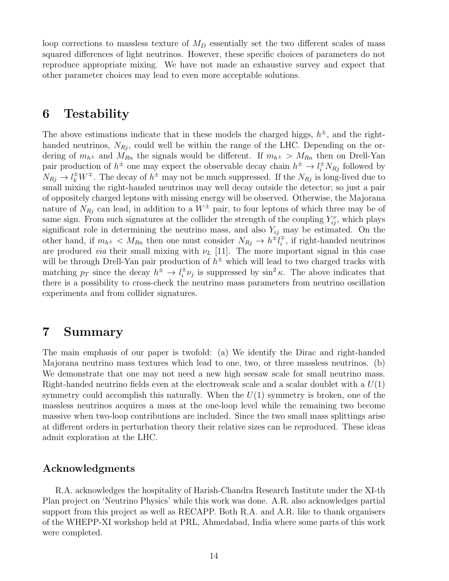loop corrections to massless texture of  $M_D$  essentially set the two different scales of mass squared differences of light neutrinos. However, these specific choices of parameters do not reproduce appropriate mixing. We have not made an exhaustive survey and expect that other parameter choices may lead to even more acceptable solutions.

## 6 Testability

The above estimations indicate that in these models the charged higgs,  $h^{\pm}$ , and the righthanded neutrinos,  $N_{R_i}$ , could well be within the range of the LHC. Depending on the ordering of  $m_{h^{\pm}}$  and  $M_{Rn}$  the signals would be different. If  $m_{h^{\pm}} > M_{Rn}$  then on Drell-Yan pair production of  $h^{\pm}$  one may expect the observable decay chain  $h^{\pm} \to l_i^{\pm} N_{Rj}$  followed by  $N_{Rj} \to l_k^{\pm} W^{\mp}$ . The decay of  $h^{\pm}$  may not be much suppressed. If the  $N_{Rj}$  is long-lived due to small mixing the right-handed neutrinos may well decay outside the detector; so just a pair of oppositely charged leptons with missing energy will be observed. Otherwise, the Majorana nature of  $N_{Rj}$  can lead, in addition to a  $W^{\pm}$  pair, to four leptons of which three may be of same sign. From such signatures at the collider the strength of the coupling  $Y_{ij}^{\nu}$ , which plays significant role in determining the neutrino mass, and also  $Y_{ij}$  may be estimated. On the other hand, if  $m_{h^{\pm}} < M_{Rn}$  then one must consider  $N_{Rj} \to h^{\pm} l_i^{\mp}$ , if right-handed neutrinos are produced *via* their small mixing with  $\nu_L$  [11]. The more important signal in this case will be through Drell-Yan pair production of  $h^{\pm}$  which will lead to two charged tracks with matching  $p_T$  since the decay  $h^{\pm} \to l_i^{\pm} \nu_j$  is suppressed by  $\sin^2 \kappa$ . The above indicates that there is a possibility to cross-check the neutrino mass parameters from neutrino oscillation experiments and from collider signatures.

# 7 Summary

The main emphasis of our paper is twofold: (a) We identify the Dirac and right-handed Majorana neutrino mass textures which lead to one, two, or three massless neutrinos. (b) We demonstrate that one may not need a new high seesaw scale for small neutrino mass. Right-handed neutrino fields even at the electroweak scale and a scalar doublet with a  $U(1)$ symmetry could accomplish this naturally. When the  $U(1)$  symmetry is broken, one of the massless neutrinos acquires a mass at the one-loop level while the remaining two become massive when two-loop contributions are included. Since the two small mass splittings arise at different orders in perturbation theory their relative sizes can be reproduced. These ideas admit exploration at the LHC.

## Acknowledgments

R.A. acknowledges the hospitality of Harish-Chandra Research Institute under the XI-th Plan project on 'Neutrino Physics' while this work was done. A.R. also acknowledges partial support from this project as well as RECAPP. Both R.A. and A.R. like to thank organisers of the WHEPP-XI workshop held at PRL, Ahmedabad, India where some parts of this work were completed.